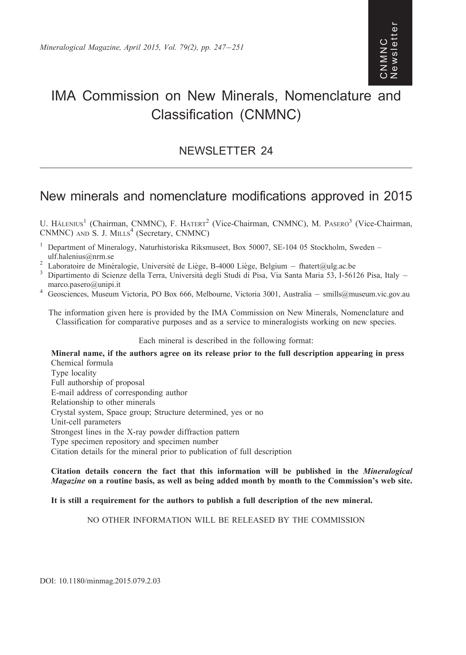## Newsletter ewslette CNMNC<br>Newslett ON<br>M<br>N<br>N<br>N

# IMA Commission on New Minerals, Nomenclature and Classification (CNMNC)

### NEWSLETTER 24

## New minerals and nomenclature modifications approved in 2015

U. HÅLENIUS<sup>1</sup> (Chairman, CNMNC), F. HATERT<sup>2</sup> (Vice-Chairman, CNMNC), M. PASERO<sup>3</sup> (Vice-Chairman, CNMNC) AND S. J. MILLS<sup>4</sup> (Secretary, CNMNC)

- <sup>1</sup> Department of Mineralogy, Naturhistoriska Riksmuseet, Box 50007, SE-104 05 Stockholm, Sweden –
- ulf.halenius@nrm.se<br><sup>2</sup> Laboratoire de Minéralogie, Université de Liège, B-4000 Liège, Belgium fhatert@ulg.ac.be
- $^2$  Laboratoire de Minéralogie, Université de Liège, B-4000 Liège, Belgium fhatert@ulg.ac.be<br><sup>3</sup> Dipartimento di Scienze della Terra, Università degli Studi di Pisa, Via Santa Maria 53, I-56126 Pisa, Italy –
- marco.pasero@unipi.it<br>4 Geosciences, Museum Victoria, PO Box 666, Melbourne, Victoria 3001, Australia smills@museum.vic.gov.au

The information given here is provided by the IMA Commission on New Minerals, Nomenclature and Classification for comparative purposes and as a service to mineralogists working on new species.

#### Each mineral is described in the following format:

Mineral name, if the authors agree on its release prior to the full description appearing in press Chemical formula Type locality Full authorship of proposal E-mail address of corresponding author Relationship to other minerals Crystal system, Space group; Structure determined, yes or no Unit-cell parameters Strongest lines in the X-ray powder diffraction pattern Type specimen repository and specimen number Citation details for the mineral prior to publication of full description

#### Citation details concern the fact that this information will be published in the Mineralogical Magazine on a routine basis, as well as being added month by month to the Commission's web site.

#### It is still a requirement for the authors to publish a full description of the new mineral.

#### NO OTHER INFORMATION WILL BE RELEASED BY THE COMMISSION

DOI: 10.1180/minmag.2015.079.2.03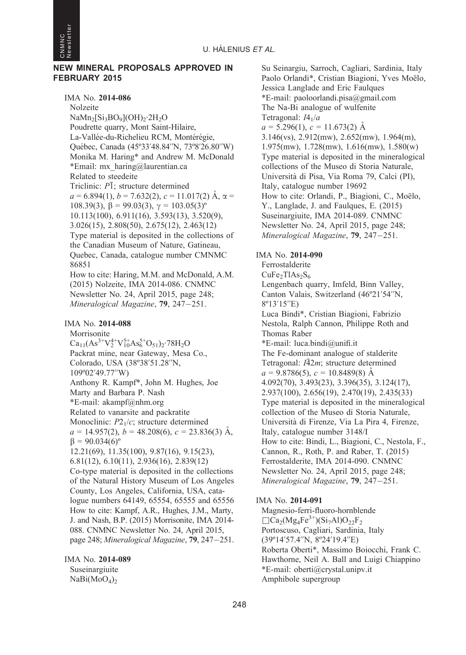

#### NEW MINERAL PROPOSALS APPROVED IN FEBRUARY 2015

IMA No. 2014-086 Nolzeite NaMn<sub>2</sub>[Si<sub>3</sub>BO<sub>9</sub>](OH)<sub>2</sub>·2H<sub>2</sub>O Poudrette quarry, Mont Saint-Hilaire, La-Vallée-du-Richelieu RCM, Montérégie, Que´bec, Canada (45º33'48.84''N, 73º8'26.80''W) Monika M. Haring\* and Andrew M. McDonald \*Email: mx\_haring@laurentian.ca Related to steedeite Triclinic:  $P\bar{1}$ : structure determined  $a = 6.894(1)$ ,  $b = 7.632(2)$ ,  $c = 11.017(2)$  Å,  $\alpha =$ 108.39(3),  $\beta$  = 99.03(3),  $\gamma$  = 103.05(3)<sup>o</sup> 10.113(100), 6.911(16), 3.593(13), 3.520(9), 3.026(15), 2.808(50), 2.675(12), 2.463(12) Type material is deposited in the collections of the Canadian Museum of Nature, Gatineau, Quebec, Canada, catalogue number CMNMC 86851 How to cite: Haring, M.M. and McDonald, A.M. (2015) Nolzeite, IMA 2014-086. CNMNC Newsletter No. 24, April 2015, page 248; Mineralogical Magazine, 79, 247-251. IMA No. 2014-088 Morrisonite  $Ca_{11}(As^{3+}V_2^{4+}V_{10}^{5+}As_6^{5+}O_{51})_2.78H_2O$ Packrat mine, near Gateway, Mesa Co., Colorado, USA (38º38'51.28''N, 109º02'49.77''W) Anthony R. Kampf\*, John M. Hughes, Joe Marty and Barbara P. Nash \*E-mail: akampf@nhm.org Related to vanarsite and packratite Monoclinic:  $P2<sub>1</sub>/c$ ; structure determined  $a = 14.957(2)$ ,  $b = 48.208(6)$ ,  $c = 23.836(3)$  Å,  $\beta = 90.034(6)^{\circ}$ 12.21(69), 11.35(100), 9.87(16), 9.15(23), 6.81(12), 6.10(11), 2.936(16), 2.839(12) Co-type material is deposited in the collections of the Natural History Museum of Los Angeles County, Los Angeles, California, USA, catalogue numbers 64149, 65554, 65555 and 65556 How to cite: Kampf, A.R., Hughes, J.M., Marty, J. and Nash, B.P. (2015) Morrisonite, IMA 2014- 088. CNMNC Newsletter No. 24, April 2015, page 248; Mineralogical Magazine, 79, 247-251.

IMA No. 2014-089 Suseinargiuite  $NaBi(MoO<sub>4</sub>)<sub>2</sub>$ 

Su Seinargiu, Sarroch, Cagliari, Sardinia, Italy Paolo Orlandi\*, Cristian Biagioni, Yves Moëlo, Jessica Langlade and Eric Faulques \*E-mail: paoloorlandi.pisa@gmail.com The Na-Bi analogue of wulfenite Tetragonal:  $I4_1/a$  $a = 5.296(1), c = 11.673(2)$  Å 3.146(vs), 2.912(mw), 2.652(mw), 1.964(m), 1.975(mw), 1.728(mw), 1.616(mw), 1.580(w) Type material is deposited in the mineralogical collections of the Museo di Storia Naturale, Universita` di Pisa, Via Roma 79, Calci (PI), Italy, catalogue number 19692 How to cite: Orlandi, P., Biagioni, C., Moëlo, Y., Langlade, J. and Faulques, E. (2015) Suseinargiuite, IMA 2014-089. CNMNC Newsletter No. 24, April 2015, page 248; Mineralogical Magazine, 79, 247–251. IMA No. 2014-090 Ferrostalderite  $CuFe<sub>2</sub>TIAs<sub>2</sub>S<sub>6</sub>$ Lengenbach quarry, Imfeld, Binn Valley, Canton Valais, Switzerland (46º21'54''N, 8º13'15''E) Luca Bindi\*, Cristian Biagioni, Fabrizio Nestola, Ralph Cannon, Philippe Roth and Thomas Raber \*E-mail: luca.bindi@unifi.it The Fe-dominant analogue of stalderite Tetragonal:  $I\bar{4}2m$ ; structure determined  $a = 9.8786(5), c = 10.8489(8)$  Å 4.092(70), 3.493(23), 3.396(35), 3.124(17), 2.937(100), 2.656(19), 2.470(19), 2.435(33) Type material is deposited in the mineralogical collection of the Museo di Storia Naturale, Universita` di Firenze, Via La Pira 4, Firenze, Italy, catalogue number 3148/I How to cite: Bindi, L., Biagioni, C., Nestola, F., Cannon, R., Roth, P. and Raber, T. (2015) Ferrostalderite, IMA 2014-090. CNMNC Newsletter No. 24, April 2015, page 248; Mineralogical Magazine, 79, 247-251.

#### IMA No. 2014-091

Magnesio-ferri-fluoro-hornblende  $\Box$ Ca<sub>2</sub>(Mg<sub>4</sub>Fe<sup>3+</sup>)(Si<sub>7</sub>Al)O<sub>22</sub>F<sub>2</sub> Portoscuso, Cagliari, Sardinia, Italy (39º14'57.4''N, 8º24'19.4''E) Roberta Oberti\*, Massimo Boiocchi, Frank C. Hawthorne, Neil A. Ball and Luigi Chiappino \*E-mail: oberti@crystal.unipv.it Amphibole supergroup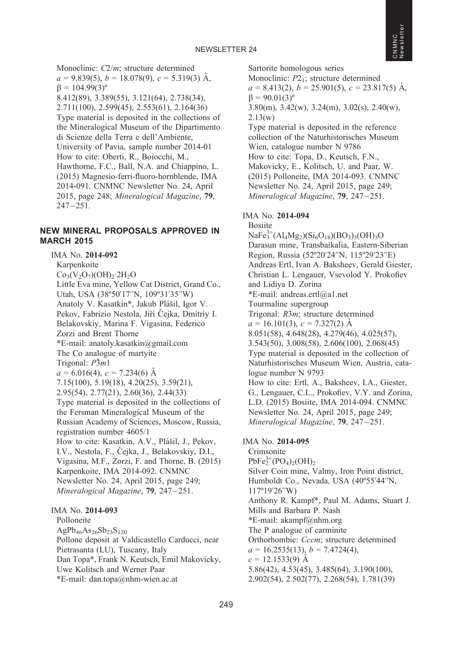Monoclinic:  $C2/m$ ; structure determined  $a = 9.839(5)$ ,  $b = 18.078(9)$ ,  $c = 5.319(3)$  Å,  $\beta = 104.99(3)^{\circ}$ 8.412(89), 3.389(55), 3.121(64), 2.738(34), 2.711(100), 2.599(45), 2.553(61), 2.164(36) Type material is deposited in the collections of the Mineralogical Museum of the Dipartimento di Scienze della Terra e dell'Ambiente, University of Pavia, sample number 2014-01 How to cite: Oberti, R., Boiocchi, M., Hawthorne, F.C., Ball, N.A. and Chiappino, L. (2015) Magnesio-ferri-fluoro-hornblende, IMA 2014-091. CNMNC Newsletter No. 24, April 2015, page 248; Mineralogical Magazine, 79,  $247 - 251.$ 

#### NEW MINERAL PROPOSALS APPROVED IN MARCH 2015

IMA No. 2014-092 Karpenkoite  $Co_3(V_2O_7)(OH)_{2} \cdot 2H_2O$ Little Eva mine, Yellow Cat District, Grand Co., Utah, USA (38º50'17''N, 109º31'35''W) Anatoly V. Kasatkin\*, Jakub Plášil, Igor V. Pekov, Fabrizio Nestola, Jiří Čejka, Dmitriy I. Belakovskiy, Marina F. Vigasina, Federico Zorzi and Brent Thorne \*E-mail: anatoly.kasatkin@gmail.com The Co analogue of martyite Trigonal:  $P\bar{3}m1$  $a = 6.016(4)$ ,  $c = 7.234(6)$  Å 7.15(100), 5.19(18), 4.20(25), 3.59(21), 2.95(54), 2.77(21), 2.60(36), 2.44(33) Type material is deposited in the collections of the Fersman Mineralogical Museum of the Russian Academy of Sciences, Moscow, Russia, registration number 4605/1 How to cite: Kasatkin, A.V., Plášil, J., Pekov, I.V., Nestola, F., Čejka, J., Belakovskiy, D.I., Vigasina, M.F., Zorzi, F. and Thorne, B. (2015) Karpenkoite, IMA 2014-092. CNMNC Newsletter No. 24, April 2015, page 249; Mineralogical Magazine, 79, 247-251. IMA No. 2014-093 Polloneite

#### $AgPb_{46}As_{26}Sb_{23}S_{120}$ Pollone deposit at Valdicastello Carducci, near Pietrasanta (LU), Tuscany, Italy Dan Topa\*, Frank N. Keutsch, Emil Makovicky, Uwe Kolitsch and Werner Paar \*E-mail: dan.topa@nhm-wien.ac.at

Sartorite homologous series

Monoclinic:  $P2_1$ ; structure determined  $a = 8.413(2), b = 25.901(5), c = 23.817(5)$  Å,  $\beta = 90.01(3)^{\circ}$ 3.80(m), 3.42(w), 3.24(m), 3.02(s), 2.40(w), 2.13(w) Type material is deposited in the reference collection of the Naturhistorisches Museum

Wien, catalogue number N 9786 How to cite: Topa, D., Keutsch, F.N., Makovicky, E., Kolitsch, U. and Paar, W. (2015) Polloneite, IMA 2014-093. CNMNC Newsletter No. 24, April 2015, page 249; Mineralogical Magazine, **79**, 247–251.

#### IMA No. 2014-094

Bosiite  $NaFe<sub>3</sub><sup>3+</sup>(Al<sub>4</sub>Mg<sub>2</sub>)(Si<sub>6</sub>O<sub>18</sub>)(BO<sub>3</sub>)<sub>3</sub>(OH)<sub>3</sub>O$ Darasun mine, Transbaikalia, Eastern-Siberian Region, Russia (52º20'24''N, 115º29'23''E) Andreas Ertl, Ivan A. Baksheev, Gerald Giester, Christian L. Lengauer, Vsevolod Y. Prokofiev and Lidiya D. Zorina \*E-mail: andreas.ertl@a1.net Tourmaline supergroup Trigonal: R3m; structure determined  $a = 16.101(3), c = 7.327(2)$  Å 8.051(58), 4.648(28), 4.279(46), 4.025(57), 3.543(50), 3.008(58), 2.606(100), 2.068(45) Type material is deposited in the collection of Naturhistorisches Museum Wien, Austria, catalogue number N 9793 How to cite: Ertl, A., Baksheev, I.A., Giester, G., Lengauer, C.L., Prokofiev, V.Y. and Zorina, L.D. (2015) Bosiite, IMA 2014-094. CNMNC Newsletter No. 24, April 2015, page 249; Mineralogical Magazine, 79, 247-251.

#### IMA No. 2014-095

Crimsonite  $PbFe<sub>2</sub><sup>3+</sup>(PO<sub>4</sub>)<sub>2</sub>(OH)<sub>2</sub>$ Silver Coin mine, Valmy, Iron Point district, Humboldt Co., Nevada, USA (40º55'44''N, 117º19'26''W) Anthony R. Kampf\*, Paul M. Adams, Stuart J. Mills and Barbara P. Nash \*E-mail: akampf@nhm.org The P analogue of carminite Orthorhombic: Cccm; structure determined  $a = 16.2535(13), b = 7.4724(4),$  $c = 12.1533(9)$  Å 5.86(42), 4.53(45), 3.485(64), 3.190(100), 2.902(54), 2.502(77), 2.268(54), 1.781(39)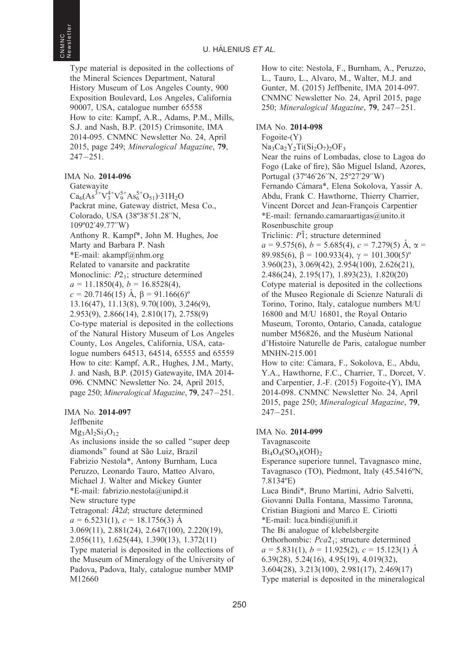Type material is deposited in the collections of the Mineral Sciences Department, Natural History Museum of Los Angeles County, 900 Exposition Boulevard, Los Angeles, California 90007, USA, catalogue number 65558 How to cite: Kampf, A.R., Adams, P.M., Mills, S.J. and Nash, B.P. (2015) Crimsonite, IMA 2014-095. CNMNC Newsletter No. 24, April 2015, page 249; Mineralogical Magazine, 79, 247-251.

IMA No. 2014-096

**Gatewayite**  $Ca_6(As^3+V_3^{4+}V_9^{5+}As_6^{5+}O_{51})$  31H<sub>2</sub>O Packrat mine, Gateway district, Mesa Co., Colorado, USA (38º38'51.28''N, 109º02'49.77''W) Anthony R. Kampf\*, John M. Hughes, Joe Marty and Barbara P. Nash \*E-mail: akampf@nhm.org Related to vanarsite and packratite Monoclinic:  $P2_1$ ; structure determined  $a = 11.1850(4)$ ,  $b = 16.8528(4)$ ,  $c = 20.7146(15)$  A,  $\beta = 91.166(6)$ <sup>o</sup> 13.16(47), 11.13(8), 9.70(100), 3.246(9), 2.953(9), 2.866(14), 2.810(17), 2.758(9) Co-type material is deposited in the collections of the Natural History Museum of Los Angeles County, Los Angeles, California, USA, catalogue numbers 64513, 64514, 65555 and 65559 How to cite: Kampf, A.R., Hughes, J.M., Marty, J. and Nash, B.P. (2015) Gatewayite, IMA 2014- 096. CNMNC Newsletter No. 24, April 2015, page 250; Mineralogical Magazine, 79, 247-251.

IMA No. 2014-097

Jeffbenite

 $Mg_3Al_2Si_3O_{12}$ 

As inclusions inside the so called ''super deep diamonds" found at São Luiz, Brazil Fabrizio Nestola\*, Antony Burnham, Luca Peruzzo, Leonardo Tauro, Matteo Alvaro, Michael J. Walter and Mickey Gunter \*E-mail: fabrizio.nestola@unipd.it New structure type Tetragonal:  $I\bar{4}2d$ ; structure determined  $a = 6.5231(1), c = 18.1756(3)$  Å 3.069(11), 2.881(24), 2.647(100), 2.220(19), 2.056(11), 1.625(44), 1.390(13), 1.372(11) Type material is deposited in the collections of the Museum of Mineralogy of the University of Padova, Padova, Italy, catalogue number MMP M12660

How to cite: Nestola, F., Burnham, A., Peruzzo, L., Tauro, L., Alvaro, M., Walter, M.J. and Gunter, M. (2015) Jeffbenite, IMA 2014-097. CNMNC Newsletter No. 24, April 2015, page 250; Mineralogical Magazine, 79, 247-251.

#### IMA No. 2014-098

Fogoite-(Y)  $Na<sub>3</sub>Ca<sub>2</sub>Y<sub>2</sub>Ti(Si<sub>2</sub>O<sub>7</sub>)<sub>2</sub>OF<sub>3</sub>$ Near the ruins of Lombadas, close to Lagoa do Fogo (Lake of fire), São Miguel Island, Azores, Portugal (37º46'26''N, 25º27'29''W) Fernando Cámara\*, Elena Sokolova, Yassir A. Abdu, Frank C. Hawthorne, Thierry Charrier, Vincent Dorcet and Jean-François Carpentier \*E-mail: fernando.camaraartigas@unito.it Rosenbuschite group Triclinic:  $P\bar{1}$ ; structure determined  $a = 9.575(6), b = 5.685(4), c = 7.279(5)$  Å,  $\alpha =$ 89.985(6),  $\beta = 100.933(4)$ ,  $\gamma = 101.300(5)^{\circ}$ 3.960(23), 3.069(42), 2.954(100), 2.626(21), 2.486(24), 2.195(17), 1.893(23), 1.820(20) Cotype material is deposited in the collections of the Museo Regionale di Scienze Naturali di Torino, Torino, Italy, catalogue numbers M/U 16800 and M/U 16801, the Royal Ontario Museum, Toronto, Ontario, Canada, catalogue number M56826, and the Muséum National d'Histoire Naturelle de Paris, catalogue number MNHN-215.001 How to cite: Cámara, F., Sokolova, E., Abdu, Y.A., Hawthorne, F.C., Charrier, T., Dorcet, V. and Carpentier, J.-F. (2015) Fogoite-(Y), IMA 2014-098. CNMNC Newsletter No. 24, April 2015, page 250; Mineralogical Magazine, 79,  $247 - 251$ 

#### IMA No. 2014-099

Tavagnascoite  $Bi_4O_4(SO_4)(OH)_{2}$ Esperance superiore tunnel, Tavagnasco mine, Tavagnasco (TO), Piedmont, Italy (45.5416ºN, 7.8134ºE) Luca Bindi\*, Bruno Martini, Adrio Salvetti, Giovanni Dalla Fontana, Massimo Taronna, Cristian Biagioni and Marco E. Ciriotti \*E-mail: luca.bindi@unifi.it The Bi analogue of klebelsbergite Orthorhombic: Pca2<sub>1</sub>; structure determined  $a = 5.831(1), b = 11.925(2), c = 15.123(1)$  Å 6.39(28), 5.24(16), 4.95(19), 4.019(32), 3.604(28), 3.213(100), 2.981(17), 2.469(17) Type material is deposited in the mineralogical